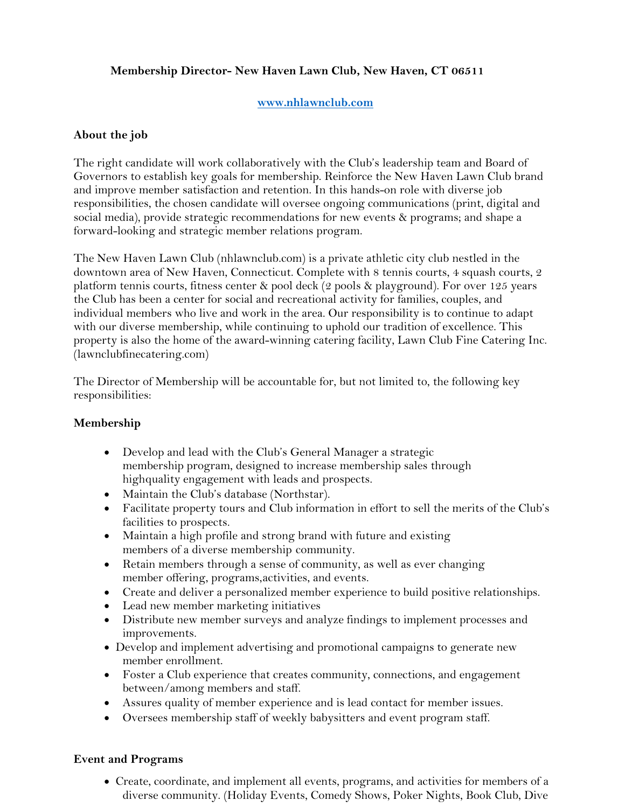## **Membership Director- New Haven Lawn Club, New Haven, CT 06511**

### **www.nhlawnclub.com**

### **About the job**

The right candidate will work collaboratively with the Club's leadership team and Board of Governors to establish key goals for membership. Reinforce the New Haven Lawn Club brand and improve member satisfaction and retention. In this hands-on role with diverse job responsibilities, the chosen candidate will oversee ongoing communications (print, digital and social media), provide strategic recommendations for new events & programs; and shape a forward-looking and strategic member relations program.

The New Haven Lawn Club (nhlawnclub.com) is a private athletic city club nestled in the downtown area of New Haven, Connecticut. Complete with 8 tennis courts, 4 squash courts, 2 platform tennis courts, fitness center & pool deck (2 pools & playground). For over 125 years the Club has been a center for social and recreational activity for families, couples, and individual members who live and work in the area. Our responsibility is to continue to adapt with our diverse membership, while continuing to uphold our tradition of excellence. This property is also the home of the award-winning catering facility, Lawn Club Fine Catering Inc. (lawnclubfinecatering.com)

The Director of Membership will be accountable for, but not limited to, the following key responsibilities:

#### **Membership**

- Develop and lead with the Club's General Manager a strategic membership program, designed to increase membership sales through highquality engagement with leads and prospects.
- Maintain the Club's database (Northstar).
- Facilitate property tours and Club information in effort to sell the merits of the Club's facilities to prospects.
- Maintain a high profile and strong brand with future and existing members of a diverse membership community.
- Retain members through a sense of community, as well as ever changing member offering, programs,activities, and events.
- Create and deliver a personalized member experience to build positive relationships.
- Lead new member marketing initiatives
- Distribute new member surveys and analyze findings to implement processes and improvements.
- Develop and implement advertising and promotional campaigns to generate new member enrollment.
- Foster a Club experience that creates community, connections, and engagement between/among members and staff.
- Assures quality of member experience and is lead contact for member issues.
- Oversees membership staff of weekly babysitters and event program staff.

#### **Event and Programs**

• Create, coordinate, and implement all events, programs, and activities for members of a diverse community. (Holiday Events, Comedy Shows, Poker Nights, Book Club, Dive